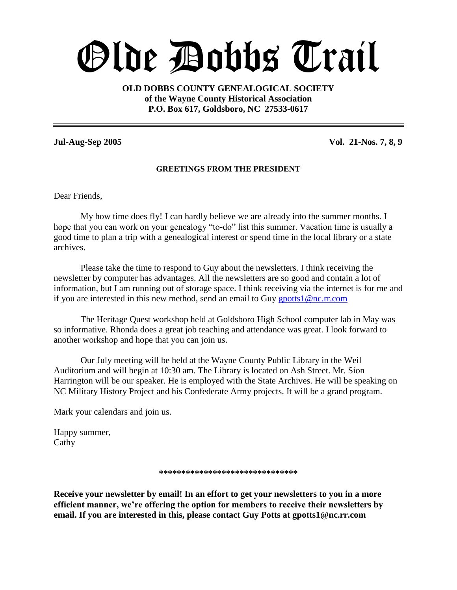# Olde Dobbs Trail

**OLD DOBBS COUNTY GENEALOGICAL SOCIETY of the Wayne County Historical Association P.O. Box 617, Goldsboro, NC 27533-0617**

**Jul-Aug-Sep 2005 Vol. 21-Nos. 7, 8, 9**

#### **GREETINGS FROM THE PRESIDENT**

Dear Friends,

My how time does fly! I can hardly believe we are already into the summer months. I hope that you can work on your genealogy "to-do" list this summer. Vacation time is usually a good time to plan a trip with a genealogical interest or spend time in the local library or a state archives.

Please take the time to respond to Guy about the newsletters. I think receiving the newsletter by computer has advantages. All the newsletters are so good and contain a lot of information, but I am running out of storage space. I think receiving via the internet is for me and if you are interested in this new method, send an email to Guy gpotts  $1@nc.rr.com$ 

The Heritage Quest workshop held at Goldsboro High School computer lab in May was so informative. Rhonda does a great job teaching and attendance was great. I look forward to another workshop and hope that you can join us.

Our July meeting will be held at the Wayne County Public Library in the Weil Auditorium and will begin at 10:30 am. The Library is located on Ash Street. Mr. Sion Harrington will be our speaker. He is employed with the State Archives. He will be speaking on NC Military History Project and his Confederate Army projects. It will be a grand program.

Mark your calendars and join us.

Happy summer, Cathy

#### **\*\*\*\*\*\*\*\*\*\*\*\*\*\*\*\*\*\*\*\*\*\*\*\*\*\*\*\*\*\*\***

**Receive your newsletter by email! In an effort to get your newsletters to you in a more efficient manner, we're offering the option for members to receive their newsletters by email. If you are interested in this, please contact Guy Potts at gpotts1@nc.rr.com**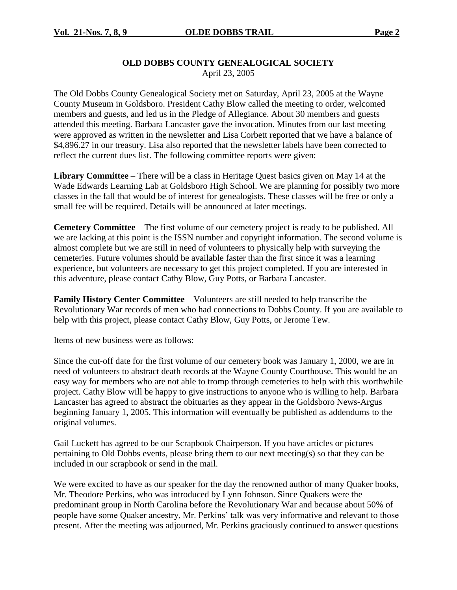#### **OLD DOBBS COUNTY GENEALOGICAL SOCIETY** April 23, 2005

The Old Dobbs County Genealogical Society met on Saturday, April 23, 2005 at the Wayne County Museum in Goldsboro. President Cathy Blow called the meeting to order, welcomed members and guests, and led us in the Pledge of Allegiance. About 30 members and guests attended this meeting. Barbara Lancaster gave the invocation. Minutes from our last meeting were approved as written in the newsletter and Lisa Corbett reported that we have a balance of \$4,896.27 in our treasury. Lisa also reported that the newsletter labels have been corrected to reflect the current dues list. The following committee reports were given:

**Library Committee** –There will be a class in Heritage Quest basics given on May 14 at the Wade Edwards Learning Lab at Goldsboro High School. We are planning for possibly two more classes in the fall that would be of interest for genealogists. These classes will be free or only a small fee will be required. Details will be announced at later meetings.

**Cemetery Committee** –The first volume of our cemetery project is ready to be published. All we are lacking at this point is the ISSN number and copyright information. The second volume is almost complete but we are still in need of volunteers to physically help with surveying the cemeteries. Future volumes should be available faster than the first since it was a learning experience, but volunteers are necessary to get this project completed. If you are interested in this adventure, please contact Cathy Blow, Guy Potts, or Barbara Lancaster.

**Family History Center Committee** – Volunteers are still needed to help transcribe the Revolutionary War records of men who had connections to Dobbs County. If you are available to help with this project, please contact Cathy Blow, Guy Potts, or Jerome Tew.

Items of new business were as follows:

Since the cut-off date for the first volume of our cemetery book was January 1, 2000, we are in need of volunteers to abstract death records at the Wayne County Courthouse. This would be an easy way for members who are not able to tromp through cemeteries to help with this worthwhile project. Cathy Blow will be happy to give instructions to anyone who is willing to help. Barbara Lancaster has agreed to abstract the obituaries as they appear in the Goldsboro News-Argus beginning January 1, 2005. This information will eventually be published as addendums to the original volumes.

Gail Luckett has agreed to be our Scrapbook Chairperson. If you have articles or pictures pertaining to Old Dobbs events, please bring them to our next meeting(s) so that they can be included in our scrapbook or send in the mail.

We were excited to have as our speaker for the day the renowned author of many Quaker books, Mr. Theodore Perkins, who was introduced by Lynn Johnson. Since Quakers were the predominant group in North Carolina before the Revolutionary War and because about 50% of people have some Quaker ancestry, Mr. Perkins' talk was very informative and relevant to those present. After the meeting was adjourned, Mr. Perkins graciously continued to answer questions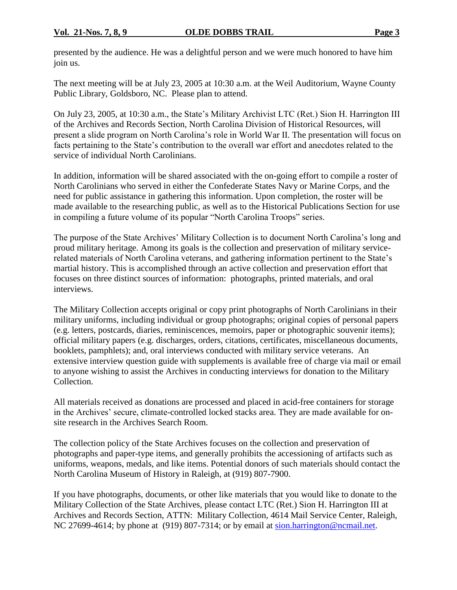presented by the audience. He was a delightful person and we were much honored to have him join us.

The next meeting will be at July 23, 2005 at 10:30 a.m. at the Weil Auditorium, Wayne County Public Library, Goldsboro, NC. Please plan to attend.

On July 23, 2005, at 10:30 a.m., the State's Military Archivist LTC (Ret.) Sion H. Harrington III of the Archives and Records Section, North Carolina Division of Historical Resources, will present a slide program on North Carolina's role in World War II. The presentation will focus on facts pertaining to the State's contribution to the overall war effort and anecdotes related to the service of individual North Carolinians.

In addition, information will be shared associated with the on-going effort to compile a roster of North Carolinians who served in either the Confederate States Navy or Marine Corps, and the need for public assistance in gathering this information. Upon completion, the roster will be made available to the researching public, as well as to the Historical Publications Section for use in compiling a future volume of its popular "North Carolina Troops" series.

The purpose of the State Archives' Military Collection is to document North Carolina's long and proud military heritage. Among its goals is the collection and preservation of military servicerelated materials of North Carolina veterans, and gathering information pertinent to the State's martial history. This is accomplished through an active collection and preservation effort that focuses on three distinct sources of information: photographs, printed materials, and oral interviews.

The Military Collection accepts original or copy print photographs of North Carolinians in their military uniforms, including individual or group photographs; original copies of personal papers (e.g. letters, postcards, diaries, reminiscences, memoirs, paper or photographic souvenir items); official military papers (e.g. discharges, orders, citations, certificates, miscellaneous documents, booklets, pamphlets); and, oral interviews conducted with military service veterans. An extensive interview question guide with supplements is available free of charge via mail or email to anyone wishing to assist the Archives in conducting interviews for donation to the Military Collection.

All materials received as donations are processed and placed in acid-free containers for storage in the Archives' secure, climate-controlled locked stacks area. They are made available for onsite research in the Archives Search Room.

The collection policy of the State Archives focuses on the collection and preservation of photographs and paper-type items, and generally prohibits the accessioning of artifacts such as uniforms, weapons, medals, and like items. Potential donors of such materials should contact the North Carolina Museum of History in Raleigh, at (919) 807-7900.

If you have photographs, documents, or other like materials that you would like to donate to the Military Collection of the State Archives, please contact LTC (Ret.) Sion H. Harrington III at Archives and Records Section, ATTN: Military Collection, 4614 Mail Service Center, Raleigh, NC 27699-4614; by phone at (919) 807-7314; or by email at sion.harrington@ncmail.net.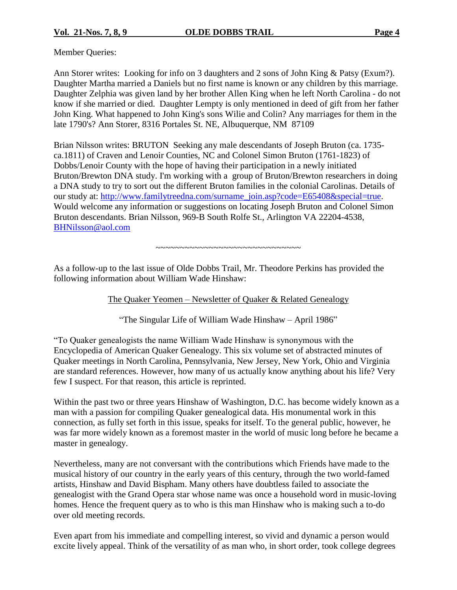Member Queries:

Ann Storer writes: Looking for info on 3 daughters and 2 sons of John King & Patsy (Exum?). Daughter Martha married a Daniels but no first name is known or any children by this marriage. Daughter Zelphia was given land by her brother Allen King when he left North Carolina - do not know if she married or died. Daughter Lempty is only mentioned in deed of gift from her father John King. What happened to John King's sons Wilie and Colin? Any marriages for them in the late 1790's? Ann Storer, 8316 Portales St. NE, Albuquerque, NM 87109

Brian Nilsson writes: BRUTON Seeking any male descendants of Joseph Bruton (ca. 1735 ca.1811) of Craven and Lenoir Counties, NC and Colonel Simon Bruton (1761-1823) of Dobbs/Lenoir County with the hope of having their participation in a newly initiated Bruton/Brewton DNA study. I'm working with a group of Bruton/Brewton researchers in doing a DNA study to try to sort out the different Bruton families in the colonial Carolinas. Details of our study at: http://www.familytreedna.com/surname\_join.asp?code=E65408&special=true. Would welcome any information or suggestions on locating Joseph Bruton and Colonel Simon Bruton descendants. Brian Nilsson, 969-B South Rolfe St., Arlington VA 22204-4538, BHNilsson@aol.com

~~~~~~~~~~~~~~~~~~~~~~~~~~~~~~

As a follow-up to the last issue of Olde Dobbs Trail, Mr. Theodore Perkins has provided the following information about William Wade Hinshaw:

The Quaker Yeomen – Newsletter of Quaker & Related Genealogy

"The Singular Life of William Wade Hinshaw – April 1986"

"To Quaker genealogists the name William Wade Hinshaw is synonymous with the Encyclopedia of American Quaker Genealogy. This six volume set of abstracted minutes of Quaker meetings in North Carolina, Pennsylvania, New Jersey, New York, Ohio and Virginia are standard references. However, how many of us actually know anything about his life? Very few I suspect. For that reason, this article is reprinted.

Within the past two or three years Hinshaw of Washington, D.C. has become widely known as a man with a passion for compiling Quaker genealogical data. His monumental work in this connection, as fully set forth in this issue, speaks for itself. To the general public, however, he was far more widely known as a foremost master in the world of music long before he became a master in genealogy.

Nevertheless, many are not conversant with the contributions which Friends have made to the musical history of our country in the early years of this century, through the two world-famed artists, Hinshaw and David Bispham. Many others have doubtless failed to associate the genealogist with the Grand Opera star whose name was once a household word in music-loving homes. Hence the frequent query as to who is this man Hinshaw who is making such a to-do over old meeting records.

Even apart from his immediate and compelling interest, so vivid and dynamic a person would excite lively appeal. Think of the versatility of as man who, in short order, took college degrees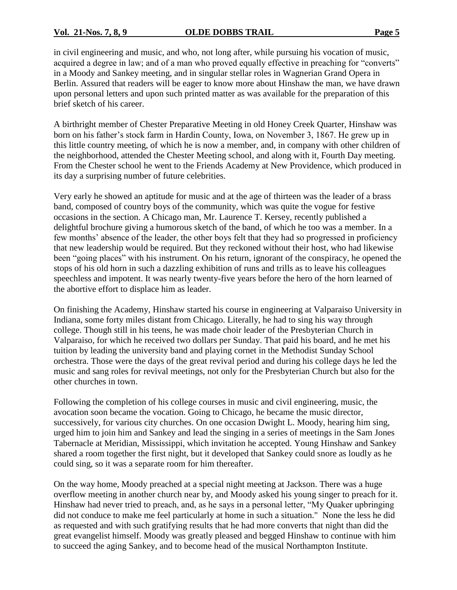#### **Vol. 21-Nos. 7, 8, 9 OLDE DOBBS TRAIL Page 5**

in civil engineering and music, and who, not long after, while pursuing his vocation of music, acquired a degree in law; and of a man who proved equally effective in preaching for "converts" in a Moody and Sankey meeting, and in singular stellar roles in Wagnerian Grand Opera in Berlin. Assured that readers will be eager to know more about Hinshaw the man, we have drawn upon personal letters and upon such printed matter as was available for the preparation of this brief sketch of his career.

A birthright member of Chester Preparative Meeting in old Honey Creek Quarter, Hinshaw was born on his father's stock farm in Hardin County, Iowa, on November 3, 1867. He grew up in this little country meeting, of which he is now a member, and, in company with other children of the neighborhood, attended the Chester Meeting school, and along with it, Fourth Day meeting. From the Chester school he went to the Friends Academy at New Providence, which produced in its day a surprising number of future celebrities.

Very early he showed an aptitude for music and at the age of thirteen was the leader of a brass band, composed of country boys of the community, which was quite the vogue for festive occasions in the section. A Chicago man, Mr. Laurence T. Kersey, recently published a delightful brochure giving a humorous sketch of the band, of which he too was a member. In a few months' absence of the leader, the other boys felt that they had so progressed in proficiency that new leadership would be required. But they reckoned without their host, who had likewise been "going places" with his instrument. On his return, ignorant of the conspiracy, he opened the stops of his old horn in such a dazzling exhibition of runs and trills as to leave his colleagues speechless and impotent. It was nearly twenty-five years before the hero of the horn learned of the abortive effort to displace him as leader.

On finishing the Academy, Hinshaw started his course in engineering at Valparaiso University in Indiana, some forty miles distant from Chicago. Literally, he had to sing his way through college. Though still in his teens, he was made choir leader of the Presbyterian Church in Valparaiso, for which he received two dollars per Sunday. That paid his board, and he met his tuition by leading the university band and playing cornet in the Methodist Sunday School orchestra. Those were the days of the great revival period and during his college days he led the music and sang roles for revival meetings, not only for the Presbyterian Church but also for the other churches in town.

Following the completion of his college courses in music and civil engineering, music, the avocation soon became the vocation. Going to Chicago, he became the music director, successively, for various city churches. On one occasion Dwight L. Moody, hearing him sing, urged him to join him and Sankey and lead the singing in a series of meetings in the Sam Jones Tabernacle at Meridian, Mississippi, which invitation he accepted. Young Hinshaw and Sankey shared a room together the first night, but it developed that Sankey could snore as loudly as he could sing, so it was a separate room for him thereafter.

On the way home, Moody preached at a special night meeting at Jackson. There was a huge overflow meeting in another church near by, and Moody asked his young singer to preach for it. Hinshaw had never tried to preach, and, as he says in a personal letter, "My Quaker upbringing" did not conduce to make me feel particularly at home in such a situation." None the less he did as requested and with such gratifying results that he had more converts that night than did the great evangelist himself. Moody was greatly pleased and begged Hinshaw to continue with him to succeed the aging Sankey, and to become head of the musical Northampton Institute.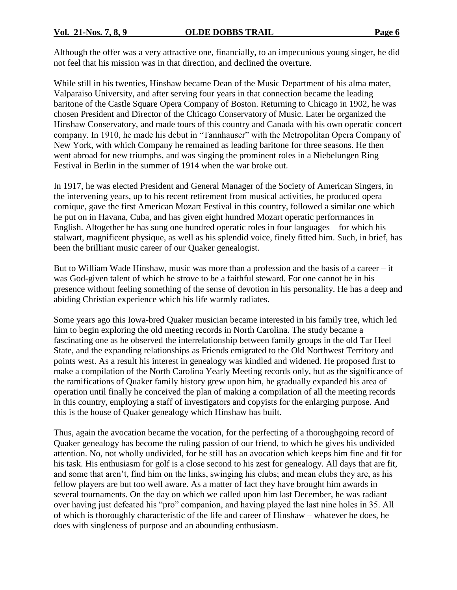Although the offer was a very attractive one, financially, to an impecunious young singer, he did not feel that his mission was in that direction, and declined the overture.

While still in his twenties, Hinshaw became Dean of the Music Department of his alma mater, Valparaiso University, and after serving four years in that connection became the leading baritone of the Castle Square Opera Company of Boston. Returning to Chicago in 1902, he was chosen President and Director of the Chicago Conservatory of Music. Later he organized the Hinshaw Conservatory, and made tours of this country and Canada with his own operatic concert company. In 1910, he made his debut in "Tannhauser" with the Metropolitan Opera Company of New York, with which Company he remained as leading baritone for three seasons. He then went abroad for new triumphs, and was singing the prominent roles in a Niebelungen Ring Festival in Berlin in the summer of 1914 when the war broke out.

In 1917, he was elected President and General Manager of the Society of American Singers, in the intervening years, up to his recent retirement from musical activities, he produced opera comique, gave the first American Mozart Festival in this country, followed a similar one which he put on in Havana, Cuba, and has given eight hundred Mozart operatic performances in English. Altogether he has sung one hundred operatic roles in four languages – for which his stalwart, magnificent physique, as well as his splendid voice, finely fitted him. Such, in brief, has been the brilliant music career of our Quaker genealogist.

But to William Wade Hinshaw, music was more than a profession and the basis of a career  $-$  it was God-given talent of which he strove to be a faithful steward. For one cannot be in his presence without feeling something of the sense of devotion in his personality. He has a deep and abiding Christian experience which his life warmly radiates.

Some years ago this Iowa-bred Quaker musician became interested in his family tree, which led him to begin exploring the old meeting records in North Carolina. The study became a fascinating one as he observed the interrelationship between family groups in the old Tar Heel State, and the expanding relationships as Friends emigrated to the Old Northwest Territory and points west. As a result his interest in genealogy was kindled and widened. He proposed first to make a compilation of the North Carolina Yearly Meeting records only, but as the significance of the ramifications of Quaker family history grew upon him, he gradually expanded his area of operation until finally he conceived the plan of making a compilation of all the meeting records in this country, employing a staff of investigators and copyists for the enlarging purpose. And this is the house of Quaker genealogy which Hinshaw has built.

Thus, again the avocation became the vocation, for the perfecting of a thoroughgoing record of Quaker genealogy has become the ruling passion of our friend, to which he gives his undivided attention. No, not wholly undivided, for he still has an avocation which keeps him fine and fit for his task. His enthusiasm for golf is a close second to his zest for genealogy. All days that are fit, and some that aren't, find him on the links, swinging his clubs; and mean clubs they are, as his fellow players are but too well aware. As a matter of fact they have brought him awards in several tournaments. On the day on which we called upon him last December, he was radiant over having just defeated his "pro" companion, and having played the last nine holes in 35. All of which is thoroughly characteristic of the life and career of Hinshaw –whatever he does, he does with singleness of purpose and an abounding enthusiasm.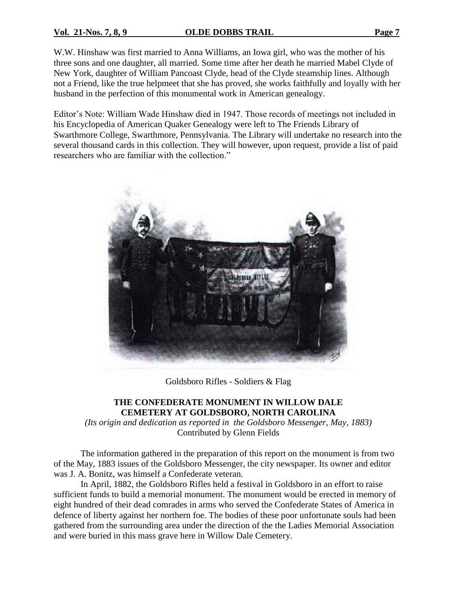#### **Vol. 21-Nos. 7, 8, 9 OLDE DOBBS TRAIL Page 7**

W.W. Hinshaw was first married to Anna Williams, an Iowa girl, who was the mother of his three sons and one daughter, all married. Some time after her death he married Mabel Clyde of New York, daughter of William Pancoast Clyde, head of the Clyde steamship lines. Although not a Friend, like the true helpmeet that she has proved, she works faithfully and loyally with her husband in the perfection of this monumental work in American genealogy.

Editor's Note: William Wade Hinshaw died in 1947. Those records of meetings not included in his Encyclopedia of American Quaker Genealogy were left to The Friends Library of Swarthmore College, Swarthmore, Pennsylvania. The Library will undertake no research into the several thousand cards in this collection. They will however, upon request, provide a list of paid researchers who are familiar with the collection."



Goldsboro Rifles - Soldiers & Flag

### **THE CONFEDERATE MONUMENT IN WILLOW DALE CEMETERY AT GOLDSBORO, NORTH CAROLINA**

*(Its origin and dedication as reported in the Goldsboro Messenger, May, 1883)* Contributed by Glenn Fields

The information gathered in the preparation of this report on the monument is from two of the May, 1883 issues of the Goldsboro Messenger, the city newspaper. Its owner and editor was J. A. Bonitz, was himself a Confederate veteran.

In April, 1882, the Goldsboro Rifles held a festival in Goldsboro in an effort to raise sufficient funds to build a memorial monument. The monument would be erected in memory of eight hundred of their dead comrades in arms who served the Confederate States of America in defence of liberty against her northern foe. The bodies of these poor unfortunate souls had been gathered from the surrounding area under the direction of the the Ladies Memorial Association and were buried in this mass grave here in Willow Dale Cemetery.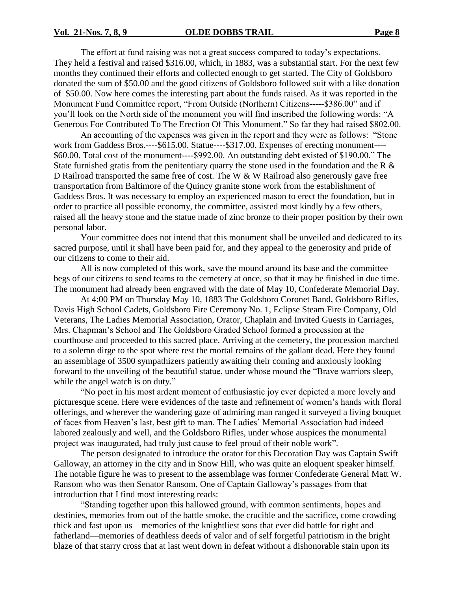The effort at fund raising was not a great success compared to today's expectations. They held a festival and raised \$316.00, which, in 1883, was a substantial start. For the next few months they continued their efforts and collected enough to get started. The City of Goldsboro donated the sum of \$50.00 and the good citizens of Goldsboro followed suit with a like donation of \$50.00. Now here comes the interesting part about the funds raised. As it was reported in the Monument Fund Committee report, "From Outside (Northern) Citizens-----\$386.00" and if you'll look on the North side of the monument you will find inscribed the following words: "A Generous Foe Contributed To The Erection Of This Monument." So far they had raised \$802.00.

An accounting of the expenses was given in the report and they were as follows: "Stone" work from Gaddess Bros.----\$615.00. Statue----\$317.00. Expenses of erecting monument---- \$60.00. Total cost of the monument----\$992.00. An outstanding debt existed of \$190.00." The State furnished gratis from the penitentiary quarry the stone used in the foundation and the R  $\&$ D Railroad transported the same free of cost. The W & W Railroad also generously gave free transportation from Baltimore of the Quincy granite stone work from the establishment of Gaddess Bros. It was necessary to employ an experienced mason to erect the foundation, but in order to practice all possible economy, the committee, assisted most kindly by a few others, raised all the heavy stone and the statue made of zinc bronze to their proper position by their own personal labor.

Your committee does not intend that this monument shall be unveiled and dedicated to its sacred purpose, until it shall have been paid for, and they appeal to the generosity and pride of our citizens to come to their aid.

All is now completed of this work, save the mound around its base and the committee begs of our citizens to send teams to the cemetery at once, so that it may be finished in due time. The monument had already been engraved with the date of May 10, Confederate Memorial Day.

At 4:00 PM on Thursday May 10, 1883 The Goldsboro Coronet Band, Goldsboro Rifles, Davis High School Cadets, Goldsboro Fire Ceremony No. 1, Eclipse Steam Fire Company, Old Veterans, The Ladies Memorial Association, Orator, Chaplain and Invited Guests in Carriages, Mrs. Chapman's School and The Goldsboro Graded School formed a procession at the courthouse and proceeded to this sacred place. Arriving at the cemetery, the procession marched to a solemn dirge to the spot where rest the mortal remains of the gallant dead. Here they found an assemblage of 3500 sympathizers patiently awaiting their coming and anxiously looking forward to the unveiling of the beautiful statue, under whose mound the "Brave warriors sleep, while the angel watch is on duty."

"No poet in his most ardent moment of enthusiastic joy ever depicted a more lovely and picturesque scene. Here were evidences of the taste and refinement of women's hands with floral offerings, and wherever the wandering gaze of admiring man ranged it surveyed a living bouquet of faces from Heaven's last, best gift to man. The Ladies' Memorial Association had indeed labored zealously and well, and the Goldsboro Rifles, under whose auspices the monumental project was inaugurated, had truly just cause to feel proud of their noble work".

The person designated to introduce the orator for this Decoration Day was Captain Swift Galloway, an attorney in the city and in Snow Hill, who was quite an eloquent speaker himself. The notable figure he was to present to the assemblage was former Confederate General Matt W. Ransom who was then Senator Ransom. One of Captain Galloway's passages from that introduction that I find most interesting reads:

"Standing together upon this hallowed ground, with common sentiments, hopes and destinies, memories from out of the battle smoke, the crucible and the sacrifice, come crowding thick and fast upon us—memories of the knightliest sons that ever did battle for right and fatherland—memories of deathless deeds of valor and of self forgetful patriotism in the bright blaze of that starry cross that at last went down in defeat without a dishonorable stain upon its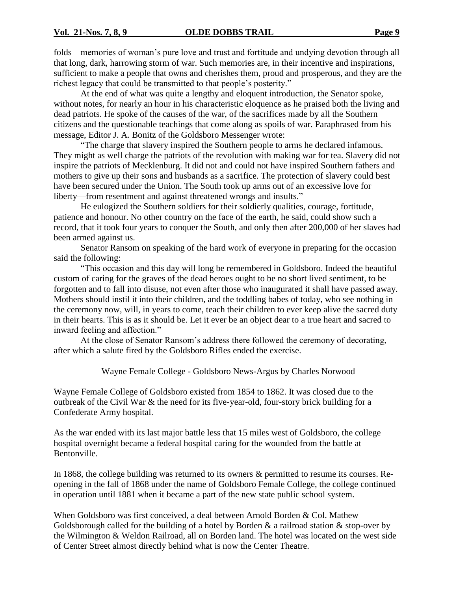folds—memories of woman's pure love and trust and fortitude and undying devotion through all that long, dark, harrowing storm of war. Such memories are, in their incentive and inspirations, sufficient to make a people that owns and cherishes them, proud and prosperous, and they are the richest legacy that could be transmitted to that people's posterity."

At the end of what was quite a lengthy and eloquent introduction, the Senator spoke, without notes, for nearly an hour in his characteristic eloquence as he praised both the living and dead patriots. He spoke of the causes of the war, of the sacrifices made by all the Southern citizens and the questionable teachings that come along as spoils of war. Paraphrased from his message, Editor J. A. Bonitz of the Goldsboro Messenger wrote:

"The charge that slavery inspired the Southern people to arms he declared infamous. They might as well charge the patriots of the revolution with making war for tea. Slavery did not inspire the patriots of Mecklenburg. It did not and could not have inspired Southern fathers and mothers to give up their sons and husbands as a sacrifice. The protection of slavery could best have been secured under the Union. The South took up arms out of an excessive love for liberty—from resentment and against threatened wrongs and insults."

He eulogized the Southern soldiers for their soldierly qualities, courage, fortitude, patience and honour. No other country on the face of the earth, he said, could show such a record, that it took four years to conquer the South, and only then after 200,000 of her slaves had been armed against us.

Senator Ransom on speaking of the hard work of everyone in preparing for the occasion said the following:

"This occasion and this day will long be remembered in Goldsboro. Indeed the beautiful custom of caring for the graves of the dead heroes ought to be no short lived sentiment, to be forgotten and to fall into disuse, not even after those who inaugurated it shall have passed away. Mothers should instil it into their children, and the toddling babes of today, who see nothing in the ceremony now, will, in years to come, teach their children to ever keep alive the sacred duty in their hearts. This is as it should be. Let it ever be an object dear to a true heart and sacred to inward feeling and affection."

At the close of Senator Ransom's address there followed the ceremony of decorating, after which a salute fired by the Goldsboro Rifles ended the exercise.

Wayne Female College - Goldsboro News-Argus by Charles Norwood

Wayne Female College of Goldsboro existed from 1854 to 1862. It was closed due to the outbreak of the Civil War & the need for its five-year-old, four-story brick building for a Confederate Army hospital.

As the war ended with its last major battle less that 15 miles west of Goldsboro, the college hospital overnight became a federal hospital caring for the wounded from the battle at Bentonville.

In 1868, the college building was returned to its owners  $\&$  permitted to resume its courses. Reopening in the fall of 1868 under the name of Goldsboro Female College, the college continued in operation until 1881 when it became a part of the new state public school system.

When Goldsboro was first conceived, a deal between Arnold Borden & Col. Mathew Goldsborough called for the building of a hotel by Borden  $\&$  a railroad station  $\&$  stop-over by the Wilmington & Weldon Railroad, all on Borden land. The hotel was located on the west side of Center Street almost directly behind what is now the Center Theatre.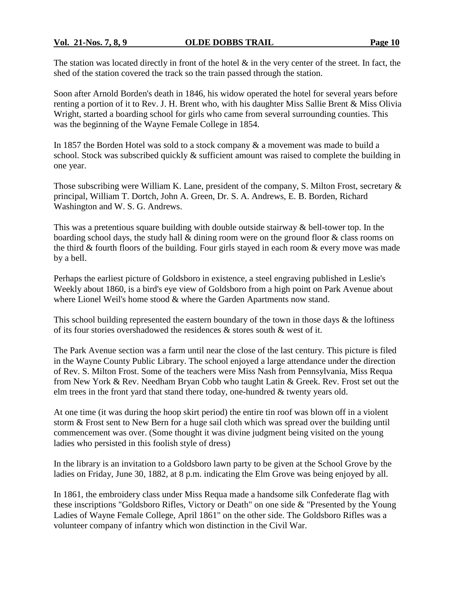The station was located directly in front of the hotel  $\&$  in the very center of the street. In fact, the shed of the station covered the track so the train passed through the station.

Soon after Arnold Borden's death in 1846, his widow operated the hotel for several years before renting a portion of it to Rev. J. H. Brent who, with his daughter Miss Sallie Brent & Miss Olivia Wright, started a boarding school for girls who came from several surrounding counties. This was the beginning of the Wayne Female College in 1854.

In 1857 the Borden Hotel was sold to a stock company & a movement was made to build a school. Stock was subscribed quickly  $\&$  sufficient amount was raised to complete the building in one year.

Those subscribing were William K. Lane, president of the company, S. Milton Frost, secretary & principal, William T. Dortch, John A. Green, Dr. S. A. Andrews, E. B. Borden, Richard Washington and W. S. G. Andrews.

This was a pretentious square building with double outside stairway & bell-tower top. In the boarding school days, the study hall & dining room were on the ground floor & class rooms on the third & fourth floors of the building. Four girls stayed in each room & every move was made by a bell.

Perhaps the earliest picture of Goldsboro in existence, a steel engraving published in Leslie's Weekly about 1860, is a bird's eye view of Goldsboro from a high point on Park Avenue about where Lionel Weil's home stood & where the Garden Apartments now stand.

This school building represented the eastern boundary of the town in those days & the loftiness of its four stories overshadowed the residences & stores south & west of it.

The Park Avenue section was a farm until near the close of the last century. This picture is filed in the Wayne County Public Library. The school enjoyed a large attendance under the direction of Rev. S. Milton Frost. Some of the teachers were Miss Nash from Pennsylvania, Miss Requa from New York & Rev. Needham Bryan Cobb who taught Latin & Greek. Rev. Frost set out the elm trees in the front yard that stand there today, one-hundred & twenty years old.

At one time (it was during the hoop skirt period) the entire tin roof was blown off in a violent storm & Frost sent to New Bern for a huge sail cloth which was spread over the building until commencement was over. (Some thought it was divine judgment being visited on the young ladies who persisted in this foolish style of dress)

In the library is an invitation to a Goldsboro lawn party to be given at the School Grove by the ladies on Friday, June 30, 1882, at 8 p.m. indicating the Elm Grove was being enjoyed by all.

In 1861, the embroidery class under Miss Requa made a handsome silk Confederate flag with these inscriptions "Goldsboro Rifles, Victory or Death" on one side & "Presented by the Young Ladies of Wayne Female College, April 1861" on the other side. The Goldsboro Rifles was a volunteer company of infantry which won distinction in the Civil War.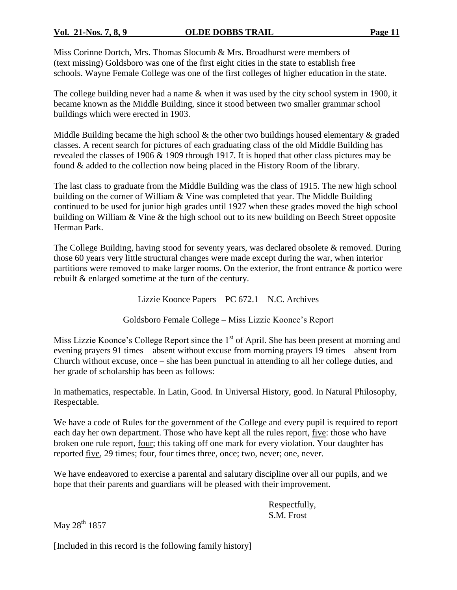Miss Corinne Dortch, Mrs. Thomas Slocumb & Mrs. Broadhurst were members of (text missing) Goldsboro was one of the first eight cities in the state to establish free schools. Wayne Female College was one of the first colleges of higher education in the state.

The college building never had a name & when it was used by the city school system in 1900, it became known as the Middle Building, since it stood between two smaller grammar school buildings which were erected in 1903.

Middle Building became the high school  $\&$  the other two buildings housed elementary  $\&$  graded classes. A recent search for pictures of each graduating class of the old Middle Building has revealed the classes of 1906 & 1909 through 1917. It is hoped that other class pictures may be found & added to the collection now being placed in the History Room of the library.

The last class to graduate from the Middle Building was the class of 1915. The new high school building on the corner of William & Vine was completed that year. The Middle Building continued to be used for junior high grades until 1927 when these grades moved the high school building on William & Vine & the high school out to its new building on Beech Street opposite Herman Park.

The College Building, having stood for seventy years, was declared obsolete & removed. During those 60 years very little structural changes were made except during the war, when interior partitions were removed to make larger rooms. On the exterior, the front entrance & portico were rebuilt & enlarged sometime at the turn of the century.

Lizzie Koonce Papers –  $PC 672.1 - N.C.$  Archives

Goldsboro Female College – Miss Lizzie Koonce's Report

Miss Lizzie Koonce's College Report since the  $1<sup>st</sup>$  of April. She has been present at morning and evening prayers 91 times – absent without excuse from morning prayers 19 times – absent from Church without excuse, once – she has been punctual in attending to all her college duties, and her grade of scholarship has been as follows:

In mathematics, respectable. In Latin, Good. In Universal History, good. In Natural Philosophy, Respectable.

We have a code of Rules for the government of the College and every pupil is required to report each day her own department. Those who have kept all the rules report, five: those who have broken one rule report, four; this taking off one mark for every violation. Your daughter has reported five, 29 times; four, four times three, once; two, never; one, never.

We have endeavored to exercise a parental and salutary discipline over all our pupils, and we hope that their parents and guardians will be pleased with their improvement.

> Respectfully, S.M. Frost

May 28<sup>th</sup> 1857

[Included in this record is the following family history]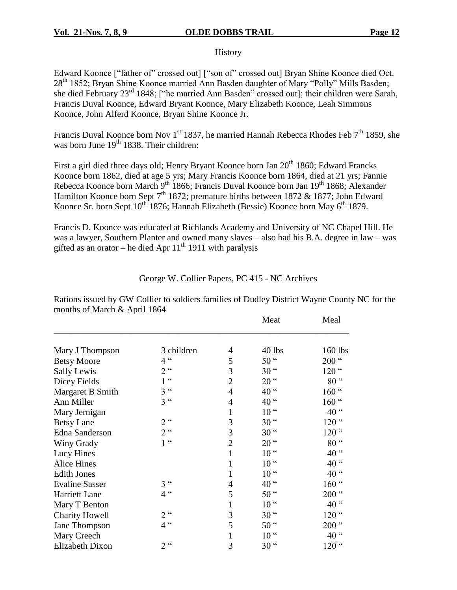#### **History**

Edward Koonce ["father of" crossed out] ["son of" crossed out] Bryan Shine Koonce died Oct. 28<sup>th</sup> 1852; Bryan Shine Koonce married Ann Basden daughter of Mary "Polly" Mills Basden; she died February 23<sup>rd</sup> 1848; ["he married Ann Basden" crossed out]; their children were Sarah, Francis Duval Koonce, Edward Bryant Koonce, Mary Elizabeth Koonce, Leah Simmons Koonce, John Alferd Koonce, Bryan Shine Koonce Jr.

Francis Duval Koonce born Nov 1<sup>st</sup> 1837, he married Hannah Rebecca Rhodes Feb  $7<sup>th</sup>$  1859, she was born June 19<sup>th</sup> 1838. Their children:

First a girl died three days old; Henry Bryant Koonce born Jan 20<sup>th</sup> 1860; Edward Francks Koonce born 1862, died at age 5 yrs; Mary Francis Koonce born 1864, died at 21 yrs; Fannie Rebecca Koonce born March 9<sup>th</sup> 1866; Francis Duval Koonce born Jan 19<sup>th</sup> 1868; Alexander Hamilton Koonce born Sept 7<sup>th</sup> 1872; premature births between 1872 & 1877; John Edward Koonce Sr. born Sept  $10^{th}$  1876; Hannah Elizabeth (Bessie) Koonce born May 6<sup>th</sup> 1879.

Francis D. Koonce was educated at Richlands Academy and University of NC Chapel Hill. He was a lawyer, Southern Planter and owned many slaves – also had his B.A. degree in law – was gifted as an orator – he died Apr  $11<sup>th</sup>$  1911 with paralysis

#### George W. Collier Papers, PC 415 - NC Archives

Rations issued by GW Collier to soldiers families of Dudley District Wayne County NC for the months of March & April 1864

|                       |                 |                | Meat             | Meal             |
|-----------------------|-----------------|----------------|------------------|------------------|
| Mary J Thompson       | 3 children      | 4              | $40$ lbs         | 160 lbs          |
|                       | 4 <sup>cc</sup> | 5              | 50 <sup>"</sup>  | $200$ "          |
| <b>Betsy Moore</b>    | $2$ $\cdot$     |                |                  |                  |
| Sally Lewis           |                 | 3              | 30 <sup>44</sup> | $120$ $\degree$  |
| Dicey Fields          | $1$ $\sim$      | $\overline{2}$ | 20 <sup>44</sup> | 80 <sup>44</sup> |
| Margaret B Smith      | 3 <sup>cc</sup> | $\overline{4}$ | 40 "             | $160$ $\degree$  |
| Ann Miller            | $3^{\circ}$     | $\overline{4}$ | 40 <sup>"</sup>  | $160$ "          |
| Mary Jernigan         |                 | 1              | 10 <sup>44</sup> | 40 <sup>"</sup>  |
| <b>Betsy Lane</b>     | $2^{\alpha}$    | 3              | 30 <sup>44</sup> | $120$ "          |
| <b>Edna Sanderson</b> | $2^{\alpha}$    | 3              | 30 <sup>44</sup> | $120$ "          |
| Winy Grady            | $1$ $\sim$      | $\overline{2}$ | 20 <sup>44</sup> | 80 <sup>44</sup> |
| Lucy Hines            |                 | 1              | 10 <sup>44</sup> | 40 <sup>"</sup>  |
| <b>Alice Hines</b>    |                 | $\mathbf{1}$   | 10 <sup>44</sup> | 40 <sup>46</sup> |
| <b>Edith Jones</b>    |                 | $\mathbf{1}$   | 10 <sup>44</sup> | 40 <sup>"</sup>  |
| <b>Evaline Sasser</b> | 3 <sup>44</sup> | 4              | 40 <sup>"</sup>  | $160$ "          |
| Harriett Lane         | 4 <sup>cc</sup> | 5              | 50 <sup>44</sup> | $200$ $\lq$      |
| Mary T Benton         |                 | 1              | 10 <sup>44</sup> | 40 <sup>"</sup>  |
| <b>Charity Howell</b> | $2^{\alpha}$    | 3              | 30 <sup>44</sup> | $120$ $\degree$  |
| Jane Thompson         | 4 <sup>cc</sup> | 5              | $50$ "           | $200$ $\lq$      |
| Mary Creech           |                 | 1              | 10 <sup>44</sup> | 40 <sup>"</sup>  |
| Elizabeth Dixon       | $2^{\alpha}$    | 3              | 30 <sup>44</sup> | $120$ "          |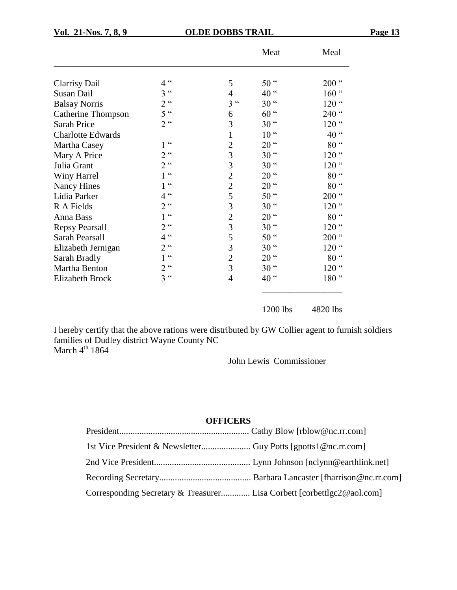| п<br>71<br>.,<br> |  |
|-------------------|--|
|                   |  |

|                           |                                 |                | Meat             | Meal             |
|---------------------------|---------------------------------|----------------|------------------|------------------|
|                           |                                 |                |                  |                  |
| <b>Clarrisy Dail</b>      | $\zeta \zeta$<br>$\overline{4}$ | 5              | 50 <sup>44</sup> | $200$ $\degree$  |
| Susan Dail                | $\zeta$ $\zeta$<br>3            | $\overline{4}$ | 40 <sup>"</sup>  | $160$ "          |
| <b>Balsay Norris</b>      | $2^{\alpha}$                    | $3$ $\sim$     | 30 <sup>44</sup> | $120$ "          |
| <b>Catherine Thompson</b> | 5 <sup>cc</sup>                 | 6              | $60$ "           | 240 $\degree$    |
| Sarah Price               | $2^{\alpha}$                    | 3              | 30 <sup>44</sup> | $120$ $\degree$  |
| <b>Charlotte Edwards</b>  |                                 | $\mathbf{1}$   | 10 <sup>44</sup> | 40<br>$\epsilon$ |
| Martha Casey              | cc                              | $\overline{2}$ | 20 <sup>44</sup> | 80 <sup>44</sup> |
| Mary A Price              | $\epsilon$<br>$\overline{2}$    | 3              | 30 <sup>44</sup> | $120$ "          |
| Julia Grant               | 2 <sup>0</sup>                  | 3              | 30 <sup>44</sup> | $120$ "          |
| Winy Harrel               | $\epsilon$                      | $\overline{2}$ | 20 <sup>44</sup> | 80 <sup>44</sup> |
| <b>Nancy Hines</b>        | $\boldsymbol{\varsigma}$        | $\overline{2}$ | 20 <sup>44</sup> | $\epsilon$<br>80 |
| Lidia Parker              | $\epsilon$<br>4                 | 5              | 50 <sup>44</sup> | $200$ $\degree$  |
| R A Fields                | cc<br>$\overline{2}$            | 3              | 30 <sup>44</sup> | $120$ "          |
| Anna Bass                 | cc                              | $\overline{2}$ | 20 <sup>44</sup> | 80 <sup>44</sup> |
| <b>Repsy Pearsall</b>     | $2^{\alpha}$                    | 3              | 30 <sup>44</sup> | $120$ "          |
| Sarah Pearsall            | 4 <sup>cc</sup>                 | 5              | 50 <sup>44</sup> | $200$ $\degree$  |
| Elizabeth Jernigan        | $2^{\alpha}$                    | 3              | 30 <sup>44</sup> | $120$ "          |
| Sarah Bradly              | $\epsilon$                      | $\overline{2}$ | 20 <sup>44</sup> | 80 <sup>44</sup> |
| Martha Benton             | cc<br>$\overline{2}$            | 3              | 30 <sup>44</sup> | $120$ $\degree$  |
| <b>Elizabeth Brock</b>    | $3$ $\cdot$                     | $\overline{4}$ | 40 $\cdot$       | 180 <sup>"</sup> |
|                           |                                 |                | 1200 lbs         | 4820 lbs         |

I hereby certify that the above rations were distributed by GW Collier agent to furnish soldiers families of Dudley district Wayne County NC March  $4^{\text{th}}$  1864

John Lewis Commissioner

#### **OFFICERS**

| Corresponding Secretary & Treasurer Lisa Corbett [corbettlgc2@aol.com] |  |
|------------------------------------------------------------------------|--|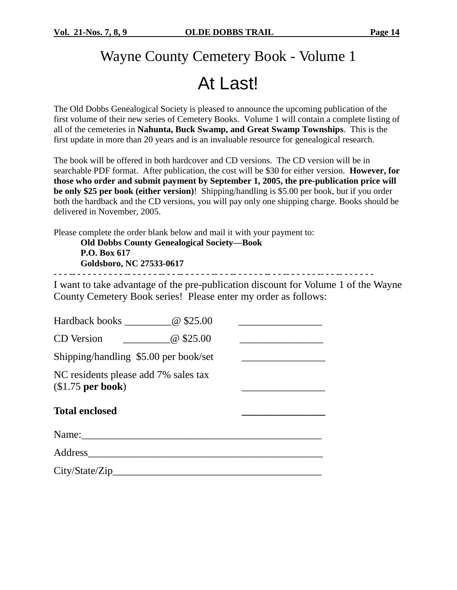## Wayne County Cemetery Book - Volume 1

## At Last!

The Old Dobbs Genealogical Society is pleased to announce the upcoming publication of the first volume of their new series of Cemetery Books. Volume 1 will contain a complete listing of all of the cemeteries in **Nahunta, Buck Swamp, and Great Swamp Townships**. This is the first update in more than 20 years and is an invaluable resource for genealogical research.

The book will be offered in both hardcover and CD versions. The CD version will be in searchable PDF format. After publication, the cost will be \$30 for either version. **However, for those who order and submit payment by September 1, 2005, the pre-publication price will be only \$25 per book (either version)**! Shipping/handling is \$5.00 per book, but if you order both the hardback and the CD versions, you will pay only one shipping charge. Books should be delivered in November, 2005.

Please complete the order blank below and mail it with your payment to:

**Old Dobbs County Genealogical Society—Book P.O. Box 617 Goldsboro, NC 27533-0617**

**- - - -- - - - - - - - - - -- - - - - - -- - - -- - - - - - -- - - -- - - - - - -- - - -- - - - - - -- - - -- - - - - - -**

I want to take advantage of the pre-publication discount for Volume 1 of the Wayne County Cemetery Book series! Please enter my order as follows:

| Hardback books <u>______________</u> @ \$25.00                                                                                                                                                                                 |           |  |
|--------------------------------------------------------------------------------------------------------------------------------------------------------------------------------------------------------------------------------|-----------|--|
| <b>CD</b> Version                                                                                                                                                                                                              | @ \$25.00 |  |
| Shipping/handling \$5.00 per book/set                                                                                                                                                                                          |           |  |
| NC residents please add 7% sales tax<br>$($1.75$ per book)                                                                                                                                                                     |           |  |
| <b>Total enclosed</b>                                                                                                                                                                                                          |           |  |
|                                                                                                                                                                                                                                |           |  |
|                                                                                                                                                                                                                                |           |  |
| Address and the set of the set of the set of the set of the set of the set of the set of the set of the set of the set of the set of the set of the set of the set of the set of the set of the set of the set of the set of t |           |  |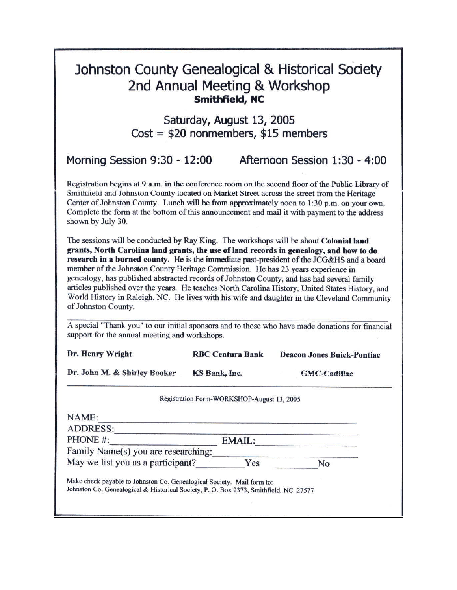## Johnston County Genealogical & Historical Society 2nd Annual Meeting & Workshop **Smithfield, NC**

Saturday, August 13, 2005  $Cost = $20$  nonmembers, \$15 members

| Morning Session 9:30 - 12:00 | Afternoon Session 1:30 - 4:00 |
|------------------------------|-------------------------------|
|------------------------------|-------------------------------|

Registration begins at 9 a.m. in the conference room on the second floor of the Public Library of Smithfield and Johnston County located on Market Street across the street from the Heritage Center of Johnston County. Lunch will be from approximately noon to  $1:30$  p.m. on your own. Complete the form at the bottom of this announcement and mail it with payment to the address shown by July 30.

The sessions will be conducted by Ray King. The workshops will be about Colonial land grants, North Carolina land grants, the use of land records in genealogy, and how to do research in a burned county. He is the immediate past-president of the JCG&HS and a board member of the Johnston County Heritage Commission. He has 23 years experience in genealogy, has published abstracted records of Johnston County, and has had several family articles published over the years. He teaches North Carolina History, United States History, and World History in Raleigh, NC. He lives with his wife and daughter in the Cleveland Community of Johnston County.

A special "Thank you" to our initial sponsors and to those who have made donations for financial support for the annual meeting and workshops.

| Dr. Henry Wright                    | <b>RBC Centura Bank</b>                    | <b>Deacon Jones Buick-Pontiac</b> |
|-------------------------------------|--------------------------------------------|-----------------------------------|
| Dr. John M. & Shirley Booker        | KS Bank, Inc.                              | <b>GMC-Cadillac</b>               |
|                                     | Registration Form-WORKSHOP-August 13, 2005 |                                   |
| NAME:                               |                                            |                                   |
| <b>ADDRESS:</b>                     |                                            |                                   |
| PHONE #:                            | EMAIL:                                     |                                   |
| Family Name(s) you are researching: |                                            |                                   |
| May we list you as a participant?   | Yes                                        | No                                |